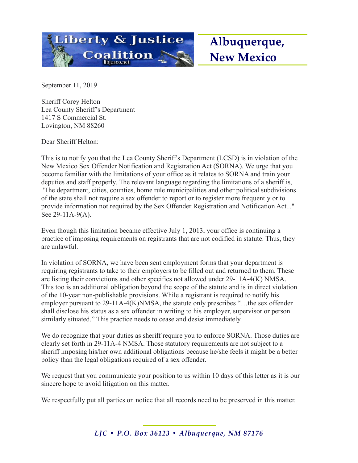

September 11, 2019

Sheriff Corey Helton Lea County Sheriff's Department 1417 S Commercial St. Lovington, NM 88260

Dear Sheriff Helton:

This is to notify you that the Lea County Sheriff's Department (LCSD) is in violation of the New Mexico Sex Offender Notification and Registration Act (SORNA). We urge that you become familiar with the limitations of your office as it relates to SORNA and train your deputies and staff properly. The relevant language regarding the limitations of a sheriff is, "The department, cities, counties, home rule municipalities and other political subdivisions of the state shall not require a sex offender to report or to register more frequently or to provide information not required by the Sex Offender Registration and Notification Act..." See 29-11A-9(A).

Even though this limitation became effective July 1, 2013, your office is continuing a practice of imposing requirements on registrants that are not codified in statute. Thus, they are unlawful.

In violation of SORNA, we have been sent employment forms that your department is requiring registrants to take to their employers to be filled out and returned to them. These are listing their convictions and other specifics not allowed under 29-11A-4(K) NMSA. This too is an additional obligation beyond the scope of the statute and is in direct violation of the 10-year non-publishable provisions. While a registrant is required to notify his employer pursuant to 29-11A-4(K)NMSA, the statute only prescribes "…the sex offender shall disclose his status as a sex offender in writing to his employer, supervisor or person similarly situated." This practice needs to cease and desist immediately.

We do recognize that your duties as sheriff require you to enforce SORNA. Those duties are clearly set forth in 29-11A-4 NMSA. Those statutory requirements are not subject to a sheriff imposing his/her own additional obligations because he/she feels it might be a better policy than the legal obligations required of a sex offender.

We request that you communicate your position to us within 10 days of this letter as it is our sincere hope to avoid litigation on this matter.

We respectfully put all parties on notice that all records need to be preserved in this matter.